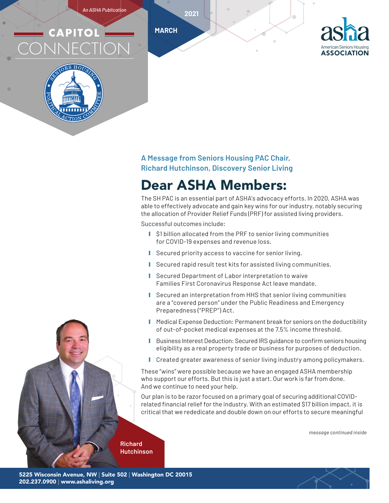*An ASHA Publication*

# **CAPITOL** CONNECTION



#### **A Message from Seniors Housing PAC Chair, Richard Hutchinson, Discovery Senior Living**

# Dear ASHA Members:

The SH PAC is an essential part of ASHA's advocacy efforts. In 2020, ASHA was able to effectively advocate and gain key wins for our industry, notably securing the allocation of Provider Relief Funds (PRF) for assisted living providers.

Successful outcomes include:

**MARCH**

**2021**

- \$1 billion allocated from the PRF to senior living communities for COVID-19 expenses and revenue loss.
- Secured priority access to vaccine for senior living.
- Secured rapid result test kits for assisted living communities.
- Secured Department of Labor interpretation to waive Families First Coronavirus Response Act leave mandate.
- Secured an interpretation from HHS that senior living communities are a "covered person" under the Public Readiness and Emergency Preparedness ("PREP") Act.
- Medical Expense Deduction: Permanent break for seniors on the deductibility of out-of-pocket medical expenses at the 7.5% income threshold.
- **Ⅰ** Business Interest Deduction: Secured IRS guidance to confirm seniors housing eligibility as a real property trade or business for purposes of deduction.
- **Ⅰ** Created greater awareness of senior living industry among policymakers.

These "wins" were possible because we have an engaged ASHA membership who support our efforts. But this is just a start. Our work is far from done. And we continue to need your help.

Our plan is to be razor focused on a primary goal of securing additional COVIDrelated financial relief for the industry. With an estimated \$17 billion impact, it is critical that we rededicate and double down on our efforts to secure meaningful

*message continued inside*

**Richard Hutchinson**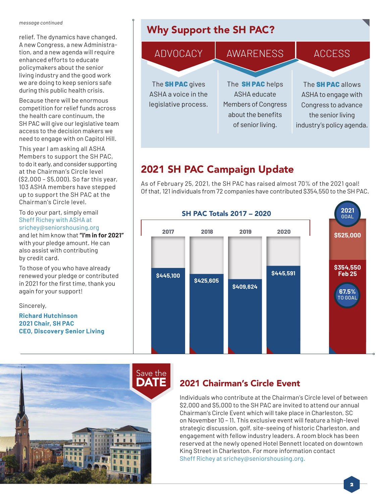#### *message continued*

relief. The dynamics have changed. A new Congress, a new Administration, and a new agenda will require enhanced efforts to educate policymakers about the senior living industry and the good work we are doing to keep seniors safe during this public health crisis.

Because there will be enormous competition for relief funds across the health care continuum, the SH PAC will give our legislative team access to the decision makers we need to engage with on Capitol Hill.

This year I am asking all ASHA Members to support the SH PAC, to do it early, and consider supporting at the Chairman's Circle level (\$2,000 – \$5,000). So far this year, 103 ASHA members have stepped up to support the SH PAC at the Chairman's Circle level.

To do your part, simply email Sheff Richey with ASHA at srichey@seniorshousing.org and let him know that **"I'm in for 2021"** with your pledge amount. He can also assist with contributing by credit card.

To those of you who have already renewed your pledge or contributed in 2021 for the first time, thank you again for your support!

Sincerely,

**Richard Hutchinson 2021 Chair, SH PAC CEO, Discovery Senior Living**



# Why Support the SH PAC?



## 2021 SH PAC Campaign Update

As of February 25, 2021, the SH PAC has raised almost 70% of the 2021 goal! Of that, 121 individuals from 72 companies have contributed \$354,550 to the SH PAC.



#### 2021 Chairman's Circle Event

Individuals who contribute at the Chairman's Circle level of between \$2,000 and \$5,000 to the SH PAC are invited to attend our annual Chairman's Circle Event which will take place in Charleston, SC on November 10 – 11. This exclusive event will feature a high-level strategic discussion, golf, site-seeing of historic Charleston, and engagement with fellow industry leaders. A room block has been reserved at the newly opened Hotel Bennett located on downtown King Street in Charleston. For more information contact Sheff Richey at srichey@seniorshousing.org.

**2**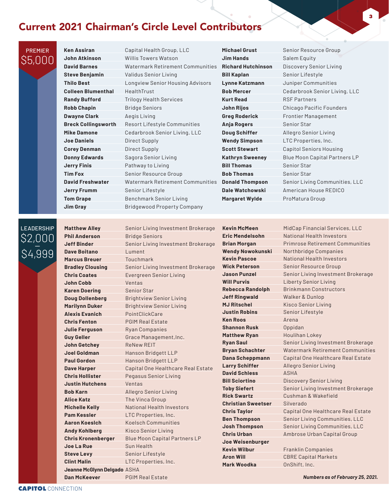#### Current 2021 Chairman's Circle Level Contributors

**Ken Assiran** Capital Health Group, LLC **Colleen Blumenthal** HealthTrust **Robb Chapin** Bridge Seniors **Dwayne Clark Aegis Living Joe Daniels Direct Supply Corey Denman Direct Supply Jerry Finis** Pathway to Living **Jerry Frumm** Senior Lifestyle

**John Atkinson** Willis Towers Watson **David Barnes** Watermark Retirement Communities **Steve Benjamin** Validus Senior Living **Thilo Best** Longview Senior Housing Advisors **Randy Bufford Trilogy Health Services Breck Collingsworth** Resort Lifestyle Communities **Mike Damone** Cedarbrook Senior Living, LLC **Donny Edwards** Sagora Senior Living **Tim Fox** Senior Resource Group **David Freshwater** Watermark Retirement Communities **Tom Grape Benchmark Senior Living Jim Gray** Bridgewood Property Company

**Michael Grust** Senior Resource Group **Jim Hands** Salem Equity **Bill Kaplan** Senior Lifestyle **Lynne Katzmann** Juniper Communities **Kurt Read** RSF Partners **Greg Roderick** Frontier Management **Anja Rogers** Senior Star **Doug Schiffer** Allegro Senior Living **Wendy Simpson** LTC Properties, Inc. **Bill Thomas** Senior Star **Bob Thomas** Senior Star **Margaret Wylde** ProMatura Group

**Richard Hutchinson** Discovery Senior Living **Bob Mercer** Cedarbrook Senior Living, LLC **John Rijos** Chicago Pacific Founders **Scott Stewart** Capitol Seniors Housing **Kathryn Sweeney** Blue Moon Capital Partners LP **Donald Thompson** Senior Living Communities, LLC **Dale Watchowski** American House REDICO

**3**

## **LEADERSHIP** \$2,000 \$4,999

PREMIER \$5,000

> **Phil Anderson** Bridge Seniors **Dave Boitano** Lument **Marcus Breuer** Touchmark **Chris Coates** Evergreen Senior Living **John Cobb** Ventas **Karen Doering** Senior Star **Doug Dollenberg** Brightview Senior Living **Marilynn Duker** Brightview Senior Living **Alexis Evanich** PointClickCare **Chris Fenton** PGIM Real Estate **Julie Ferguson** Ryan Companies **Guy Geller** Grace Management, Inc. **John Getchey** ReNew REIT **Joel Goldman** Hanson Bridgett LLP **Paul Gordon** Hanson Bridgett LLP **Chris Hollister** Pegasus Senior Living **Justin Hutchens** Ventas **Bob Karn** Allegro Senior Living **Alice Katz** The Vinca Group **Pam Kessler** LTC Properties, Inc. **Aaron Koeslch** Koelsch Communities **Andy Kohlberg** Kisco Senior Living **Joe La Rue** Sun Health **Steve Levy** Senior Lifestyle **Clint Malin** LTC Properties, Inc. **Jeanne McGlynn Delgado** ASHA

**Matthew Alley** Senior Living Investment Brokerage **Jeff Binder** Senior Living Investment Brokerage **Bradley Clousing** Senior Living Investment Brokerage **Dave Harper** Capital One Healthcare Real Estate **Michelle Kelly** National Health Investors **Chris Kronenberger** Blue Moon Capital Partners LP **Dan McKeever** PGIM Real Estate

**Will Purvis** Liberty Senior Living **Jeff Ringwald Walker & Dunlop MJ Ritschel** Kisco Senior Living **Justin Robins** Senior Lifestyle **Ken Roos Arena Shannon Rusk** Oppidan **Matthew Ryan** Houlihan Lokey **Larry Schiffer** Allegro Senior Living **David Schless** ASHA **Rick Swartz** Cushman & Wakefield **Christian Sweetser** Silverado **Joe Weisenburger Kevin Wilbur** Franklin Companies **Aron Will** CBRE Capital Markets **Mark Woodka** OnShift, Inc.

**Kevin McMeen** MidCap Financial Services, LLC **Eric Mendelsohn** National Health Investors **Brian Morgan Primrose Retirement Communities Wendy Nowokunski** Northbridge Companies **Kevin Pascoe** National Health Investors **Wick Peterson** Senior Resource Group **Jason Punzel** Senior Living Investment Brokerage **Rebecca Randolph** Brinkmann Constructors **Ryan Saul** Senior Living Investment Brokerage **Bryan Schachter** Watermark Retirement Communities **Dana Scheppmann** Capital One Healthcare Real Estate **Bill Sciortino Discovery Senior Living Toby Siefert** Senior Living Investment Brokerage **Chris Taylor** Capital One Healthcare Real Estate **Ben Thompson** Senior Living Communities, LLC **Josh Thompson** Senior Living Communities, LLC **Chris Urban** Ambrose Urban Capital Group